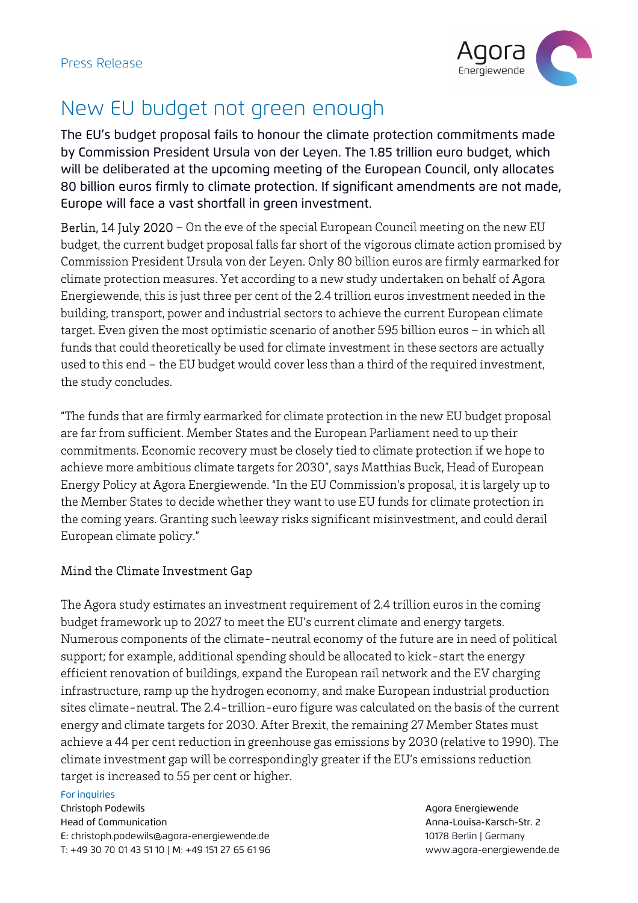

## New EU budget not green enough

The EU's budget proposal fails to honour the climate protection commitments made by Commission President Ursula von der Leyen. The 1.85 trillion euro budget, which will be deliberated at the upcoming meeting of the European Council, only allocates 80 billion euros firmly to climate protection. If significant amendments are not made, Europe will face a vast shortfall in green investment.

Berlin, 14 July 2020 – On the eve of the special European Council meeting on the new EU budget, the current budget proposal falls far short of the vigorous climate action promised by Commission President Ursula von der Leyen. Only 80 billion euros are firmly earmarked for climate protection measures. Yet according to a new study undertaken on behalf of Agora Energiewende, this is just three per cent of the 2.4 trillion euros investment needed in the building, transport, power and industrial sectors to achieve the current European climate target. Even given the most optimistic scenario of another 595 billion euros – in which all funds that could theoretically be used for climate investment in these sectors are actually used to this end – the EU budget would cover less than a third of the required investment, the study concludes.

"The funds that are firmly earmarked for climate protection in the new EU budget proposal are far from sufficient. Member States and the European Parliament need to up their commitments. Economic recovery must be closely tied to climate protection if we hope to achieve more ambitious climate targets for 2030", says Matthias Buck, Head of European Energy Policy at Agora Energiewende. "In the EU Commission's proposal, it is largely up to the Member States to decide whether they want to use EU funds for climate protection in the coming years. Granting such leeway risks significant misinvestment, and could derail European climate policy."

## Mind the Climate Investment Gap

The Agora study estimates an investment requirement of 2.4 trillion euros in the coming budget framework up to 2027 to meet the EU's current climate and energy targets. Numerous components of the climate-neutral economy of the future are in need of political support; for example, additional spending should be allocated to kick-start the energy efficient renovation of buildings, expand the European rail network and the EV charging infrastructure, ramp up the hydrogen economy, and make European industrial production sites climate-neutral. The 2.4-trillion-euro figure was calculated on the basis of the current energy and climate targets for 2030. After Brexit, the remaining 27 Member States must achieve a 44 per cent reduction in greenhouse gas emissions by 2030 (relative to 1990). The climate investment gap will be correspondingly greater if the EU's emissions reduction target is increased to 55 per cent or higher.

## For inquiries

Christoph Podewils **Agora Energiewende** Head of Communication Anna-Louisa-Karsch-Str. 2 E: christoph.podewils@agora-energiewende.de 10178 Berlin | Germany T: +49 30 70 01 43 51 10 | M: +49 151 27 65 61 96 www.agora-energiewende.de